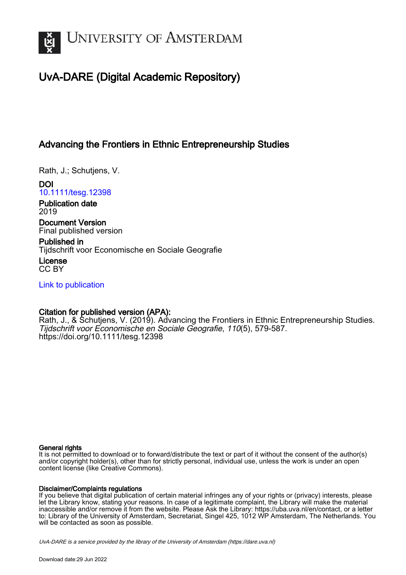

# UvA-DARE (Digital Academic Repository)

### Advancing the Frontiers in Ethnic Entrepreneurship Studies

Rath, J.; Schutjens, V.

DOI [10.1111/tesg.12398](https://doi.org/10.1111/tesg.12398)

Publication date 2019

Document Version Final published version

Published in Tijdschrift voor Economische en Sociale Geografie

License CC BY

[Link to publication](https://dare.uva.nl/personal/pure/en/publications/advancing-the-frontiers-in-ethnic-entrepreneurship-studies(59359433-7e8f-460d-9c48-ea2d1662e36e).html)

### Citation for published version (APA):

Rath, J., & Schutjens, V. (2019). Advancing the Frontiers in Ethnic Entrepreneurship Studies. Tijdschrift voor Economische en Sociale Geografie, 110(5), 579-587. <https://doi.org/10.1111/tesg.12398>

#### General rights

It is not permitted to download or to forward/distribute the text or part of it without the consent of the author(s) and/or copyright holder(s), other than for strictly personal, individual use, unless the work is under an open content license (like Creative Commons).

#### Disclaimer/Complaints regulations

If you believe that digital publication of certain material infringes any of your rights or (privacy) interests, please let the Library know, stating your reasons. In case of a legitimate complaint, the Library will make the material inaccessible and/or remove it from the website. Please Ask the Library: https://uba.uva.nl/en/contact, or a letter to: Library of the University of Amsterdam, Secretariat, Singel 425, 1012 WP Amsterdam, The Netherlands. You will be contacted as soon as possible.

UvA-DARE is a service provided by the library of the University of Amsterdam (http*s*://dare.uva.nl)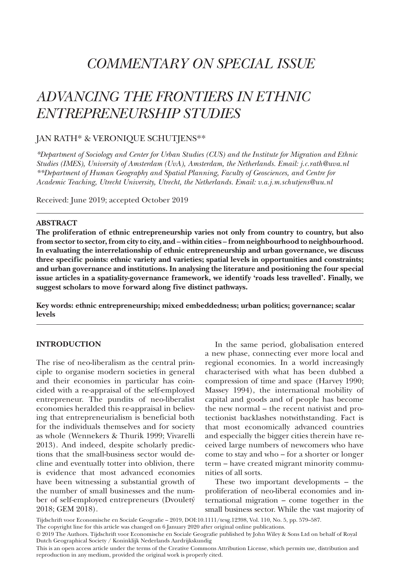# *COMMENTARY ON SPECIAL ISSUE*

## *ADVANCING THE FRONTIERS IN ETHNIC ENTREPRENEURSHIP STUDIES*

#### JAN RATH\* & VERONIQUE SCHUTJENS\*\*

*\*Department of Sociology and Center for Urban Studies (CUS) and the Institute for Migration and Ethnic Studies (IMES), University of Amsterdam (UvA), Amsterdam, the Netherlands. Email: j.c.rath@uva.nl \*\*Department of Human Geography and Spatial Planning, Faculty of Geosciences, and Centre for Academic Teaching, Utrecht University, Utrecht, the Netherlands. Email: [v.a.j.m.schutjens@uu.nl](mailto:v.a.j.m.schutjens@uu.nl)*

Received: June 2019; accepted October 2019

#### **ABSTRACT**

**The proliferation of ethnic entrepreneurship varies not only from country to country, but also from sector to sector, from city to city, and – within cities – from neighbourhood to neighbourhood. In evaluating the interrelationship of ethnic entrepreneurship and urban governance, we discuss three specific points: ethnic variety and varieties; spatial levels in opportunities and constraints; and urban governance and institutions. In analysing the literature and positioning the four special issue articles in a spatiality-governance framework, we identify 'roads less travelled'. Finally, we suggest scholars to move forward along five distinct pathways.**

**Key words: ethnic entrepreneurship; mixed embeddedness; urban politics; governance; scalar levels**

#### **INTRODUCTION**

The rise of neo-liberalism as the central principle to organise modern societies in general and their economies in particular has coincided with a re-appraisal of the self-employed entrepreneur. The pundits of neo-liberalist economies heralded this re-appraisal in believing that entrepreneurialism is beneficial both for the individuals themselves and for society as whole (Wennekers & Thurik 1999; Vivarelli 2013). And indeed, despite scholarly predictions that the small-business sector would decline and eventually totter into oblivion, there is evidence that most advanced economies have been witnessing a substantial growth of the number of small businesses and the number of self-employed entrepreneurs (Dvouletý 2018; GEM 2018).

In the same period, globalisation entered a new phase, connecting ever more local and regional economies. In a world increasingly characterised with what has been dubbed a compression of time and space (Harvey 1990; Massey 1994), the international mobility of capital and goods and of people has become the new normal – the recent nativist and protectionist backlashes notwithstanding. Fact is that most economically advanced countries and especially the bigger cities therein have received large numbers of newcomers who have come to stay and who – for a shorter or longer term – have created migrant minority communities of all sorts.

These two important developments – the proliferation of neo-liberal economies and international migration – come together in the small business sector. While the vast majority of

Tijdschrift voor Economische en Sociale Geografie – 2019, DOI:10.1111/tesg.12398, Vol. 110, No. 5, pp. 579–587.

The copyright line for this article was changed on 6 January 2020 after original online publications.

<sup>© 2019</sup> The Authors. Tijdschrift voor Economische en Sociale Geografie published by John Wiley & Sons Ltd on behalf of Royal Dutch Geographical Society / Koninklijk Nederlands Aardrijkskundig

This is an open access article under the terms of the Creative Commons Attribution License, which permits use, distribution and reproduction in any medium, provided the original work is properly cited.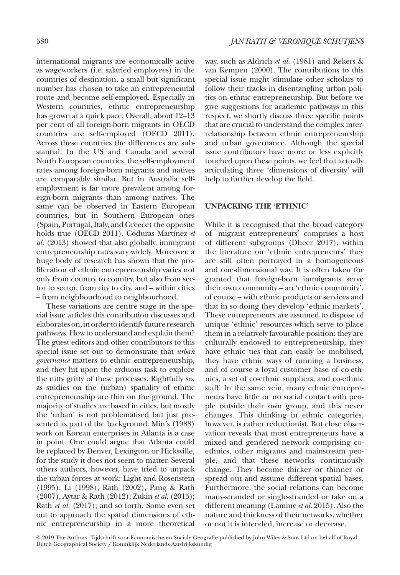international migrants are economically active as wageworkers (i.e. salaried employees) in the countries of destination, a small but significant number has chosen to take an entrepreneurial route and become self-employed. Especially in Western countries, ethnic entrepreneurship has grown at a quick pace. Overall, about 12–13 per cent of all foreign-born migrants in OECD countries are self-employed (OECD 2011). Across these countries the differences are substantial. In the US and Canada and several North European countries, the self-employment rates among foreign-born migrants and natives are comparably similar. But in Australia selfemployment is far more prevalent among foreign-born migrants than among natives. The same can be observed in Eastern European countries, but in Southern European ones (Spain, Portugal, Italy, and Greece) the opposite holds true (OECD 2011). Coduras Martínez *et al.* (2013) showed that also globally, immigrant entrepreneurship rates vary widely. Moreover, a huge body of research has shown that the proliferation of ethnic entrepreneurship varies not only from country to country, but also from sector to sector, from city to city, and – within cities – from neighbourhood to neighbourhood.

These variations are centre stage in the special issue articles this contribution discusses and elaborates on, in order to identify future research pathways. How to understand and explain them? The guest editors and other contributors to this special issue set out to demonstrate that *urban governance* matters to ethnic entrepreneurship, and they hit upon the arduous task to explore the nitty gritty of these processes. Rightfully so, as studies on the (urban) spatiality of ethnic entrepreneurship are thin on the ground. The majority of studies are based in cities, but mostly the 'urban' is not problematised but just presented as part of the background. Min's (1988) work on Korean enterprises in Atlanta is a case in point. One could argue that Atlanta could be replaced by Denver, Lexington or Hicksville, for the study it does not seem to matter. Several others authors, however, have tried to unpack the urban forces at work: Light and Rosenstein (1995), Li (1998), Rath (2002), Pang & Rath (2007), Aytar & Rath (2012); Zukin *et al.* (2015); Rath *et al.* (2017); and so forth. Some even set out to approach the spatial dimensions of ethnic entrepreneurship in a more theoretical

way, such as Aldrich *et al.* (1981) and Rekers & van Kempen (2000). The contributions to this special issue might stimulate other scholars to follow their tracks in disentangling urban politics on ethnic entrepreneurship. But before we give suggestions for academic pathways in this respect, we shortly discuss three specific points that are crucial to understand the complex interrelationship between ethnic entrepreneurship and urban governance. Although the special issue contributors have more or less explicitly touched upon these points, we feel that actually articulating three 'dimensions of diversity' will help to further develop the field.

#### **UNPACKING THE 'ETHNIC'**

While it is recognised that the broad category of 'migrant entrepreneurs' comprises a host of different subgroups (Dheer 2017), within the literature on 'ethnic entrepreneurs' they are still often portrayed in a homogeneous and one-dimensional way. It is often taken for granted that foreign-born immigrants serve their own community – an 'ethnic community', of course – with ethnic products or services and that in so doing they develop 'ethnic markets'. These entrepreneurs are assumed to dispose of unique 'ethnic' resources which serve to place them in a relatively favourable position: they are culturally endowed to entrepreneurship, they have ethnic ties that can easily be mobilised, they have ethnic ways of running a business, and of course a loyal customer base of co-ethnics, a set of co-ethnic suppliers, and co-ethnic staff. In the same vein, many ethnic entrepreneurs have little or no social contact with people outside their own group, and this never changes. This thinking in ethnic categories, however, is rather reductionist. But close observation reveals that most entrepreneurs have a mixed and gendered network comprising coethnics, other migrants and mainstream people, and that these networks continuously change. They become thicker or thinner or spread out and assume different spatial bases. Furthermore, the social relations can become many-stranded or single-stranded or take on a different meaning (Lamine *et al.* 2015). Also the nature and thickness of their networks, whether or not it is intended, increase or decrease.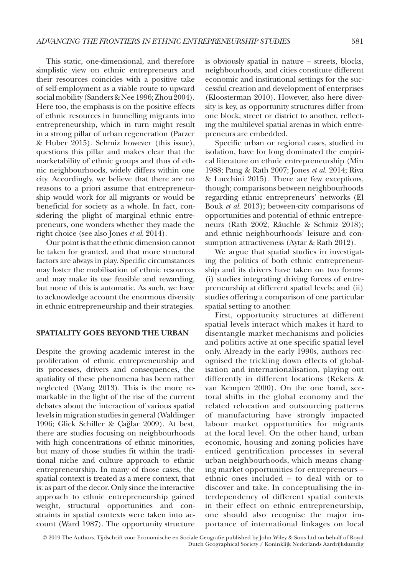This static, one-dimensional, and therefore simplistic view on ethnic entrepreneurs and their resources coincides with a positive take of self-employment as a viable route to upward social mobility (Sanders & Nee 1996; Zhou 2004). Here too, the emphasis is on the positive effects of ethnic resources in funnelling migrants into entrepreneurship, which in turn might result in a strong pillar of urban regeneration (Parzer & Huber 2015). Schmiz however (this issue), questions this pillar and makes clear that the marketability of ethnic groups and thus of ethnic neighbourhoods, widely differs within one city. Accordingly, we believe that there are no reasons to a priori assume that entrepreneurship would work for all migrants or would be beneficial for society as a whole. In fact, considering the plight of marginal ethnic entrepreneurs, one wonders whether they made the right choice (see also Jones *et al.* 2014).

Our point is that the ethnic dimension cannot be taken for granted, and that more structural factors are always in play. Specific circumstances may foster the mobilisation of ethnic resources and may make its use feasible and rewarding, but none of this is automatic. As such, we have to acknowledge account the enormous diversity in ethnic entrepreneurship and their strategies.

#### **SPATIALITY GOES BEYOND THE URBAN**

Despite the growing academic interest in the proliferation of ethnic entrepreneurship and its processes, drivers and consequences, the spatiality of these phenomena has been rather neglected (Wang 2013). This is the more remarkable in the light of the rise of the current debates about the interaction of various spatial levels in migration studies in general (Waldinger 1996; Glick Schiller & Çağlar 2009). At best, there are studies focusing on neighbourhoods with high concentrations of ethnic minorities, but many of those studies fit within the traditional niche and culture approach to ethnic entrepreneurship. In many of those cases, the spatial context is treated as a mere context, that is: as part of the decor. Only since the interactive approach to ethnic entrepreneurship gained weight, structural opportunities and constraints in spatial contexts were taken into account (Ward 1987). The opportunity structure

is obviously spatial in nature – streets, blocks, neighbourhoods, and cities constitute different economic and institutional settings for the successful creation and development of enterprises (Kloosterman 2010). However, also here diversity is key, as opportunity structures differ from one block, street or district to another, reflecting the multilevel spatial arenas in which entrepreneurs are embedded.

Specific urban or regional cases, studied in isolation, have for long dominated the empirical literature on ethnic entrepreneurship (Min 1988; Pang & Rath 2007; Jones *et al.* 2014; Riva & Lucchini 2015). There are few exceptions, though; comparisons between neighbourhoods regarding ethnic entrepreneurs' networks (El Bouk *et al.* 2013); between-city comparisons of opportunities and potential of ethnic entrepreneurs (Rath 2002; Räuchle & Schmiz 2018); and ethnic neighbourhoods' leisure and consumption attractiveness (Aytar & Rath 2012).

We argue that spatial studies in investigating the politics of both ethnic entrepreneurship and its drivers have taken on two forms: (i) studies integrating driving forces of entrepreneurship at different spatial levels; and (ii) studies offering a comparison of one particular spatial setting to another.

First, opportunity structures at different spatial levels interact which makes it hard to disentangle market mechanisms and policies and politics active at one specific spatial level only. Already in the early 1990s, authors recognised the trickling down effects of globalisation and internationalisation, playing out differently in different locations (Rekers & van Kempen 2000). On the one hand, sectoral shifts in the global economy and the related relocation and outsourcing patterns of manufacturing have strongly impacted labour market opportunities for migrants at the local level. On the other hand, urban economic, housing and zoning policies have enticed gentrification processes in several urban neighbourhoods, which means changing market opportunities for entrepreneurs – ethnic ones included – to deal with or to discover and take. In conceptualising the interdependency of different spatial contexts in their effect on ethnic entrepreneurship, one should also recognise the major importance of international linkages on local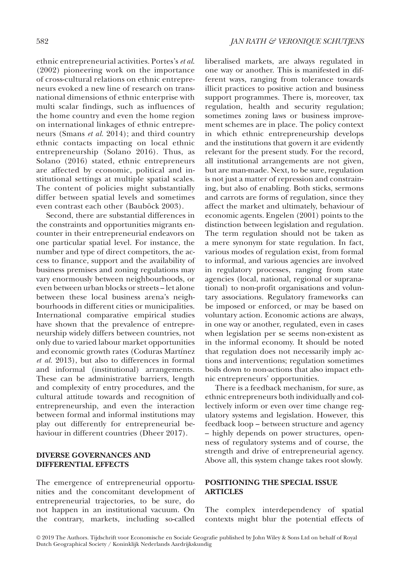ethnic entrepreneurial activities. Portes's *et al*. (2002) pioneering work on the importance of cross-cultural relations on ethnic entrepreneurs evoked a new line of research on transnational dimensions of ethnic enterprise with multi scalar findings, such as influences of the home country and even the home region on international linkages of ethnic entrepreneurs (Smans *et al.* 2014); and third country ethnic contacts impacting on local ethnic entrepreneurship (Solano 2016). Thus, as Solano (2016) stated, ethnic entrepreneurs are affected by economic, political and institutional settings at multiple spatial scales. The content of policies might substantially differ between spatial levels and sometimes even contrast each other (Bauböck 2003).

Second, there are substantial differences in the constraints and opportunities migrants encounter in their entrepreneurial endeavors on one particular spatial level. For instance, the number and type of direct competitors, the access to finance, support and the availability of business premises and zoning regulations may vary enormously between neighbourhoods, or even between urban blocks or streets – let alone between these local business arena's neighbourhoods in different cities or municipalities. International comparative empirical studies have shown that the prevalence of entrepreneurship widely differs between countries, not only due to varied labour market opportunities and economic growth rates (Coduras Martínez *et al.* 2013), but also to differences in formal and informal (institutional) arrangements. These can be administrative barriers, length and complexity of entry procedures, and the cultural attitude towards and recognition of entrepreneurship, and even the interaction between formal and informal institutions may play out differently for entrepreneurial behaviour in different countries (Dheer 2017).

#### **DIVERSE GOVERNANCES AND DIFFERENTIAL EFFECTS**

The emergence of entrepreneurial opportunities and the concomitant development of entrepreneurial trajectories, to be sure, do not happen in an institutional vacuum. On the contrary, markets, including so-called

liberalised markets, are always regulated in one way or another. This is manifested in different ways, ranging from tolerance towards illicit practices to positive action and business support programmes. There is, moreover, tax regulation, health and security regulation; sometimes zoning laws or business improvement schemes are in place. The policy context in which ethnic entrepreneurship develops and the institutions that govern it are evidently relevant for the present study. For the record, all institutional arrangements are not given, but are man-made. Next, to be sure, regulation is not just a matter of repression and constraining, but also of enabling. Both sticks, sermons and carrots are forms of regulation, since they affect the market and ultimately, behaviour of economic agents. Engelen (2001) points to the distinction between legislation and regulation. The term regulation should not be taken as a mere synonym for state regulation. In fact, various modes of regulation exist, from formal to informal, and various agencies are involved in regulatory processes, ranging from state agencies (local, national, regional or supranational) to non-profit organisations and voluntary associations. Regulatory frameworks can be imposed or enforced, or may be based on voluntary action. Economic actions are always, in one way or another, regulated, even in cases when legislation per se seems non-existent as in the informal economy. It should be noted that regulation does not necessarily imply actions and interventions; regulation sometimes boils down to non-actions that also impact ethnic entrepreneurs' opportunities.

There is a feedback mechanism, for sure, as ethnic entrepreneurs both individually and collectively inform or even over time change regulatory systems and legislation. However, this feedback loop – between structure and agency – highly depends on power structures, openness of regulatory systems and of course, the strength and drive of entrepreneurial agency. Above all, this system change takes root slowly.

#### **POSITIONING THE SPECIAL ISSUE ARTICLES**

The complex interdependency of spatial contexts might blur the potential effects of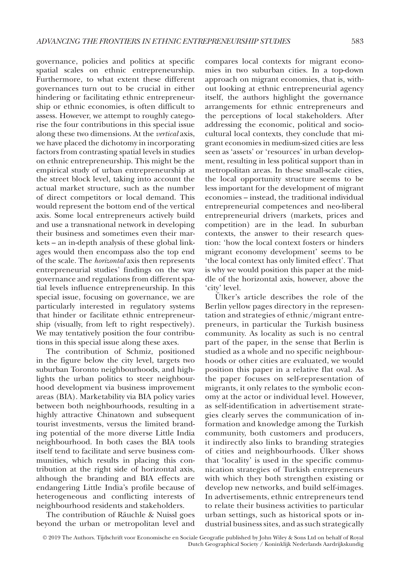governance, policies and politics at specific spatial scales on ethnic entrepreneurship. Furthermore, to what extent these different governances turn out to be crucial in either hindering or facilitating ethnic entrepreneurship or ethnic economies, is often difficult to assess. However, we attempt to roughly categorise the four contributions in this special issue along these two dimensions. At the *vertical* axis, we have placed the dichotomy in incorporating factors from contrasting spatial levels in studies on ethnic entrepreneurship. This might be the empirical study of urban entrepreneurship at the street block level, taking into account the actual market structure, such as the number of direct competitors or local demand. This would represent the bottom end of the vertical axis. Some local entrepreneurs actively build and use a transnational network in developing their business and sometimes even their markets – an in-depth analysis of these global linkages would then encompass also the top end of the scale. The *horizontal* axis then represents entrepreneurial studies' findings on the way governance and regulations from different spatial levels influence entrepreneurship. In this special issue, focusing on governance, we are particularly interested in regulatory systems that hinder or facilitate ethnic entrepreneurship (visually, from left to right respectively). We may tentatively position the four contributions in this special issue along these axes.

The contribution of Schmiz, positioned in the figure below the city level, targets two suburban Toronto neighbourhoods, and highlights the urban politics to steer neighbourhood development via business improvement areas (BIA). Marketability via BIA policy varies between both neighbourhoods, resulting in a highly attractive Chinatown and subsequent tourist investments, versus the limited branding potential of the more diverse Little India neighbourhood. In both cases the BIA tools itself tend to facilitate and serve business communities, which results in placing this contribution at the right side of horizontal axis, although the branding and BIA effects are endangering Little India's profile because of heterogeneous and conflicting interests of neighbourhood residents and stakeholders.

The contribution of Räuchle & Nuissl goes beyond the urban or metropolitan level and compares local contexts for migrant economies in two suburban cities. In a top-down approach on migrant economies, that is, without looking at ethnic entrepreneurial agency itself, the authors highlight the governance arrangements for ethnic entrepreneurs and the perceptions of local stakeholders. After addressing the economic, political and sociocultural local contexts, they conclude that migrant economies in medium-sized cities are less seen as 'assets' or 'resources' in urban development, resulting in less political support than in metropolitan areas. In these small-scale cities, the local opportunity structure seems to be less important for the development of migrant economies – instead, the traditional individual entrepreneurial competences and neo-liberal entrepreneurial drivers (markets, prices and competition) are in the lead. In suburban contexts, the answer to their research question: 'how the local context fosters or hinders migrant economy development' seems to be 'the local context has only limited effect'. That is why we would position this paper at the middle of the horizontal axis, however, above the 'city' level.

Ülker's article describes the role of the Berlin yellow pages directory in the representation and strategies of ethnic/migrant entrepreneurs, in particular the Turkish business community. As locality as such is no central part of the paper, in the sense that Berlin is studied as a whole and no specific neighbourhoods or other cities are evaluated, we would position this paper in a relative flat oval. As the paper focuses on self-representation of migrants, it only relates to the symbolic economy at the actor or individual level. However, as self-identification in advertisement strategies clearly serves the communication of information and knowledge among the Turkish community, both customers and producers, it indirectly also links to branding strategies of cities and neighbourhoods. Ülker shows that 'locality' is used in the specific communication strategies of Turkish entrepreneurs with which they both strengthen existing or develop new networks, and build self-images. In advertisements, ethnic entrepreneurs tend to relate their business activities to particular urban settings, such as historical spots or industrial business sites, and as such strategically

<sup>© 2019</sup> The Authors. Tijdschrift voor Economische en Sociale Geografie published by John Wiley & Sons Ltd on behalf of Royal Dutch Geographical Society / Koninklijk Nederlands Aardrijkskundig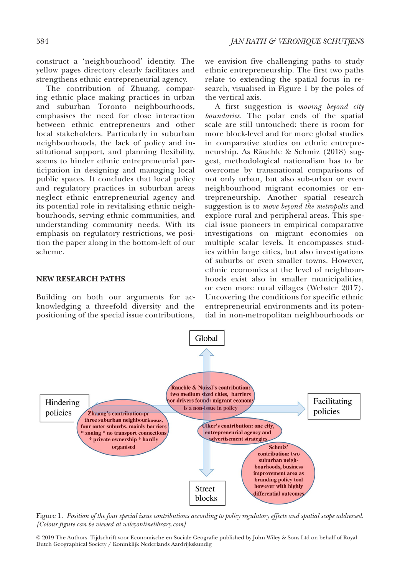construct a 'neighbourhood' identity. The yellow pages directory clearly facilitates and strengthens ethnic entrepreneurial agency.

The contribution of Zhuang, comparing ethnic place making practices in urban and suburban Toronto neighbourhoods, emphasises the need for close interaction between ethnic entrepreneurs and other local stakeholders. Particularly in suburban neighbourhoods, the lack of policy and institutional support, and planning flexibility, seems to hinder ethnic entrepreneurial participation in designing and managing local public spaces. It concludes that local policy and regulatory practices in suburban areas neglect ethnic entrepreneurial agency and its potential role in revitalising ethnic neighbourhoods, serving ethnic communities, and understanding community needs. With its emphasis on regulatory restrictions, we position the paper along in the bottom-left of our scheme.

#### **NEW RESEARCH PATHS**

Building on both our arguments for acknowledging a threefold diversity and the positioning of the special issue contributions,

we envision five challenging paths to study ethnic entrepreneurship. The first two paths relate to extending the spatial focus in research, visualised in Figure 1 by the poles of the vertical axis.

A first suggestion is *moving beyond city boundaries.* The polar ends of the spatial scale are still untouched: there is room for more block-level and for more global studies in comparative studies on ethnic entrepreneurship. As Räuchle & Schmiz (2018) suggest, methodological nationalism has to be overcome by transnational comparisons of not only urban, but also sub-urban or even neighbourhood migrant economies or entrepreneurship. Another spatial research suggestion is to *move beyond the metropolis* and explore rural and peripheral areas. This special issue pioneers in empirical comparative investigations on migrant economies on multiple scalar levels. It encompasses studies within large cities, but also investigations of suburbs or even smaller towns. However, ethnic economies at the level of neighbourhoods exist also in smaller municipalities, or even more rural villages (Webster 2017). Uncovering the conditions for specific ethnic entrepreneurial environments and its potential in non-metropolitan neighbourhoods or



Figure 1*. Position of the four special issue contributions according to policy regulatory effects and spatial scope addressed. [Colour figure can be viewed at [wileyonlinelibrary.com](www.wileyonlinelibrary.com)]*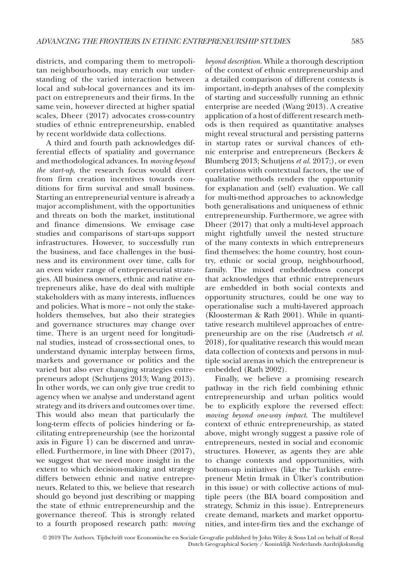districts, and comparing them to metropolitan neighbourhoods, may enrich our understanding of the varied interaction between local and sub-local governances and its impact on entrepreneurs and their firms. In the same vein, however directed at higher spatial scales, Dheer (2017) advocates cross-country studies of ethnic entrepreneurship, enabled by recent worldwide data collections.

A third and fourth path acknowledges differential effects of spatiality and governance and methodological advances. In *moving beyond the start-up*, the research focus would divert from firm creation incentives towards conditions for firm survival and small business. Starting an entrepreneurial venture is already a major accomplishment, with the opportunities and threats on both the market, institutional and finance dimensions. We envisage case studies and comparisons of start-ups support infrastructures. However, to successfully run the business, and face challenges in the business and its environment over time, calls for an even wider range of entrepreneurial strategies. All business owners, ethnic and native entrepreneurs alike, have do deal with multiple stakeholders with as many interests, influences and policies. What is more – not only the stakeholders themselves, but also their strategies and governance structures may change over time. There is an urgent need for longitudinal studies, instead of cross-sectional ones, to understand dynamic interplay between firms, markets and governance or politics and the varied but also ever changing strategies entrepreneurs adopt (Schutjens 2013; Wang 2013). In other words, we can only give true credit to agency when we analyse and understand agent strategy and its drivers and outcomes over time. This would also mean that particularly the long-term effects of policies hindering or facilitating entrepreneurship (see the horizontal axis in Figure 1) can be discerned and unravelled. Furthermore, in line with Dheer (2017), we suggest that we need more insight in the extent to which decision-making and strategy differs between ethnic and native entrepreneurs. Related to this, we believe that research should go beyond just describing or mapping the state of ethnic entrepreneurship and the governance thereof. This is strongly related to a fourth proposed research path: *moving*  *beyond description*. While a thorough description of the context of ethnic entrepreneurship and a detailed comparison of different contexts is important, in-depth analyses of the complexity of starting and successfully running an ethnic enterprise are needed (Wang 2013). A creative application of a host of different research methods is then required as quantitative analyses might reveal structural and persisting patterns in startup rates or survival chances of ethnic enterprise and entrepreneurs (Beckers & Blumberg 2013; Schutjens *et al.* 2017;), or even correlations with contextual factors, the use of qualitative methods renders the opportunity for explanation and (self) evaluation. We call for multi-method approaches to acknowledge both generalisations and uniqueness of ethnic entrepreneurship. Furthermore, we agree with Dheer (2017) that only a multi-level approach might rightfully unveil the nested structure of the many contexts in which entrepreneurs find themselves: the home country, host country, ethnic or social group, neighbourhood, family. The mixed embeddedness concept that acknowledges that ethnic entrepreneurs are embedded in both social contexts and opportunity structures, could be one way to operationalise such a multi-layered approach (Kloosterman & Rath 2001). While in quantitative research multilevel approaches of entrepreneurship are on the rise (Audretsch *et al.* 2018), for qualitative research this would mean data collection of contexts and persons in multiple social arenas in which the entrepreneur is embedded (Rath 2002).

Finally, we believe a promising research pathway in the rich field combining ethnic entrepreneurship and urban politics would be to explicitly explore the reversed effect: *moving beyond one-way impact*. The multilevel context of ethnic entrepreneurship, as stated above, might wrongly suggest a passive role of entrepreneurs, nested in social and economic structures. However, as agents they are able to change contexts and opportunities, with bottom-up initiatives (like the Turkish entrepreneur Metin Irmak in Ülker's contribution in this issue) or with collective actions of multiple peers (the BIA board composition and strategy, Schmiz in this issue). Entrepreneurs create demand, markets and market opportunities, and inter-firm ties and the exchange of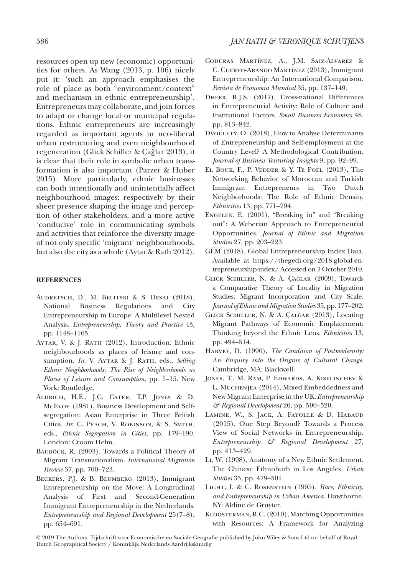resources open up new (economic) opportunities for others. As Wang (2013, p. 106) nicely put it: 'such an approach emphasises the role of place as both "environment/context" and mechanism in ethnic entrepreneurship'. Entrepreneurs may collaborate, and join forces to adapt or change local or municipal regulations. Ethnic entrepreneurs are increasingly regarded as important agents in neo-liberal urban restructuring and even neighbourhood regeneration (Glick Schiller & Çağlar 2013), it is clear that their role in symbolic urban transformation is also important (Parzer & Huber 2015). More particularly, ethnic businesses can both intentionally and unintentially affect neighbourhood images: respectively by their sheer presence shaping the image and perception of other stakeholders, and a more active 'conducive' role in communicating symbols and activities that reinforce the diversity image of not only specific 'migrant' neighbourhoods, but also the city as a whole (Aytar & Rath 2012).

#### **REFERENCES**

- Audretsch, D., M. Belitski & S. Desai (2018), National Business Regulations and City Entrepreneurship in Europe: A Multilevel Nested Analysis. *Entrepreneurship, Theory and Practice* 43, pp. 1148–1165.
- AYTAR, V. & J. RATH (2012), Introduction: Ethnic neighbourhoods as places of leisure and consumption. *In*: V. AYTAR & J. RATH, eds., *Selling Ethnic Neighborhoods: The Rise of Neighborhoods as Places of Leisure and Consumption*, pp. 1–15. New York: Routledge.
- Aldrich, H.E., J.C. Cater, T.P. Jones & D. McEvoy (1981), Business Development and Selfsegregation: Asian Enterprise in Three British Cities. *In*: C. Peach, V. Robinson, & S. Smith, eds., *Ethnic Segregation in Cities*, pp. 179–190. London: Croom Helm.
- BAUBÖCK, R. (2003), Towards a Political Theory of Migrant Transnationalism. *International Migration Review* 37, pp. 700–723.
- Beckers, P.J. & B. Blumberg (2013), Immigrant Entrepreneurship on the Move: A Longitudinal Analysis of First and Second-Generation Immigrant Entrepreneurship in the Netherlands. *Entrepreneurship and Regional Development* 25(7–8), pp. 654–691.
- Coduras Martínez, A., J.M. Saiz-Alvarez & C. Cuervo-Arango Martínez (2013), Immigrant Entrepreneurship: An International Comparison. *Revista de Economía Mundial* 35, pp. 137–149.
- Dheer, R.J.S. (2017), Cross-national Differences in Entrepreneurial Activity: Role of Culture and Institutional Factors. *Small Business Economics* 48, pp. 813–842.
- Dvouletý, O. (2018), How to Analyse Determinants of Entrepreneurship and Self-employment at the Country Level? A Methodological Contribution. *Journal of Business Venturing Insights* 9, pp. 92–99.
- El Bouk, F., P. Vedder & Y. Te Poel (2013), The Networking Behavior of Moroccan and Turkish Immigrant Entrepreneurs in Two Dutch Neighborhoods: The Role of Ethnic Density. *Ethnicities* 13, pp. 771–794.
- Engelen, E. (2001), "Breaking in" and "Breaking out": A Weberian Approach to Entrepreneurial Opportunities. *Journal of Ethnic and Migration Studies* 27, pp. 203–223.
- GEM (2018), Global Entrepreneurship Index Data. Available at [https://thegedi.org/2018-global-en](https://thegedi.org/2018-global-entrepreneurship-index/)[trepreneurship-index/](https://thegedi.org/2018-global-entrepreneurship-index/) Accessed on 3 October 2019.
- Glick Schiller, N. & A. Çağlar (2009), Towards a Comparative Theory of Locality in Migration Studies: Migrant Incorporation and City Scale. *Journal of Ethnic and Migration Studies* 35, pp. 177–202.
- Glick Schiller, N. & A. Çalğar (2013), Locating Migrant Pathways of Economic Emplacement: Thinking beyond the Ethnic Lens. *Ethnicities* 13, pp. 494–514.
- Harvey, D. (1990), *The Condition of Postmodernity: An Enquiry into the Origins of Cultural Change*. Cambridge, MA: Blackwell.
- Jones, T., M. Ram, P. Edwards, A. Kiselinchev & L. Muchenjea (2014), Mixed Embeddedness and New Migrant Enterprise in the UK. *Entrepreneurship & Regional Development* 26, pp. 500–520.
- Lamine, W., S. Jack, A. Fayolle & D. Habaud (2015), One Step Beyond? Towards a Process View of Social Networks in Entrepreneurship. *Entrepreneurship & Regional Development* 27, pp. 413–429.
- Li, W. (1998), Anatomy of a New Ethnic Settlement. The Chinese Ethnoburb in Los Angeles. *Urban Studies* 35, pp. 479–501.
- Light, I. & C. Rosenstein (1995), *Race, Ethnicity, and Entrepreneurship in Urban America*. Hawthorne, NY: Aldine de Gruyter.
- Kloosterman, R.C. (2010), Matching Opportunities with Resources: A Framework for Analyzing

<sup>© 2019</sup> The Authors. Tijdschrift voor Economische en Sociale Geografie published by John Wiley & Sons Ltd on behalf of Royal Dutch Geographical Society / Koninklijk Nederlands Aardrijkskundig